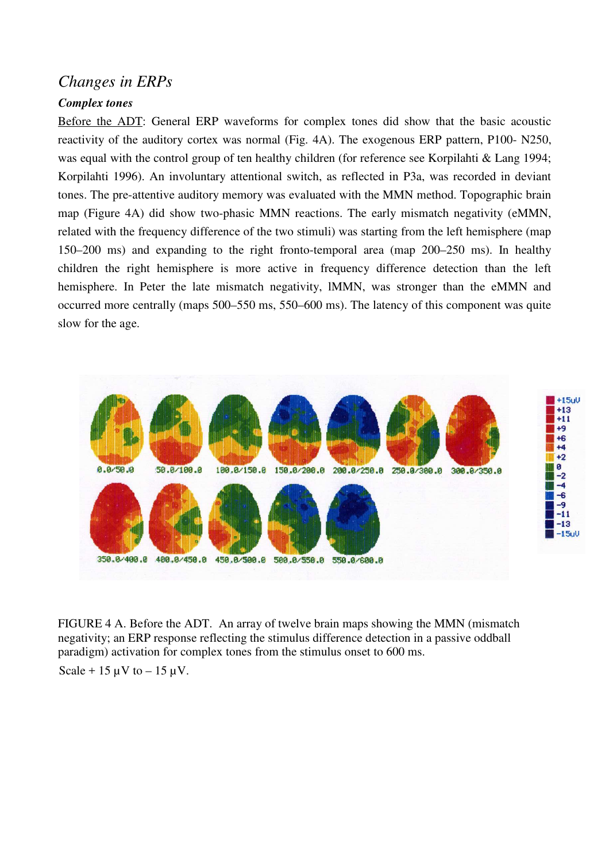## *Changes in ERPs*

## *Complex tones*

Before the ADT: General ERP waveforms for complex tones did show that the basic acoustic reactivity of the auditory cortex was normal (Fig. 4A). The exogenous ERP pattern, P100- N250, was equal with the control group of ten healthy children (for reference see Korpilahti & Lang 1994; Korpilahti 1996). An involuntary attentional switch, as reflected in P3a, was recorded in deviant tones. The pre-attentive auditory memory was evaluated with the MMN method. Topographic brain map (Figure 4A) did show two-phasic MMN reactions. The early mismatch negativity (eMMN, related with the frequency difference of the two stimuli) was starting from the left hemisphere (map 150–200 ms) and expanding to the right fronto-temporal area (map 200–250 ms). In healthy children the right hemisphere is more active in frequency difference detection than the left hemisphere. In Peter the late mismatch negativity, lMMN, was stronger than the eMMN and occurred more centrally (maps 500–550 ms, 550–600 ms). The latency of this component was quite slow for the age.



FIGURE 4 A. Before the ADT. An array of twelve brain maps showing the MMN (mismatch negativity; an ERP response reflecting the stimulus difference detection in a passive oddball paradigm) activation for complex tones from the stimulus onset to 600 ms.

Scale + 15  $\mu$ V to – 15  $\mu$ V.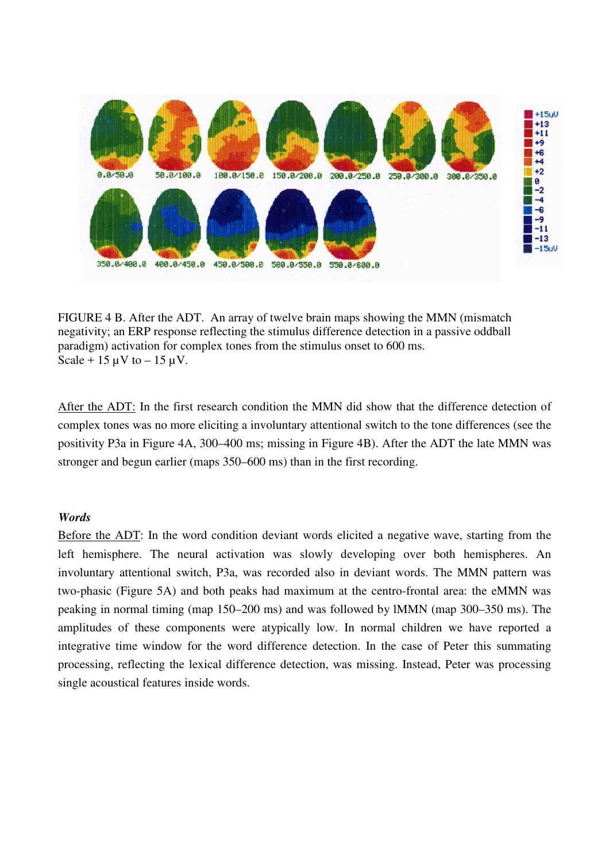

FIGURE 4 B. After the ADT. An array of twelve brain maps showing the MMN (mismatch negativity; an ERP response reflecting the stimulus difference detection in a passive oddball paradigm) activation for complex tones from the stimulus onset to 600 ms. Scale + 15  $\mu$ V to – 15  $\mu$ V.

After the ADT: In the first research condition the MMN did show that the difference detection of complex tones was no more eliciting a involuntary attentional switch to the tone differences (see the positivity P3a in Figure 4A, 300–400 ms; missing in Figure 4B). After the ADT the late MMN was stronger and begun earlier (maps 350–600 ms) than in the first recording.

## *Words*

Before the ADT: In the word condition deviant words elicited a negative wave, starting from the left hemisphere. The neural activation was slowly developing over both hemispheres. An involuntary attentional switch, P3a, was recorded also in deviant words. The MMN pattern was two-phasic (Figure 5A) and both peaks had maximum at the centro-frontal area: the eMMN was peaking in normal timing (map 150–200 ms) and was followed by lMMN (map 300–350 ms). The amplitudes of these components were atypically low. In normal children we have reported a integrative time window for the word difference detection. In the case of Peter this summating processing, reflecting the lexical difference detection, was missing. Instead, Peter was processing single acoustical features inside words.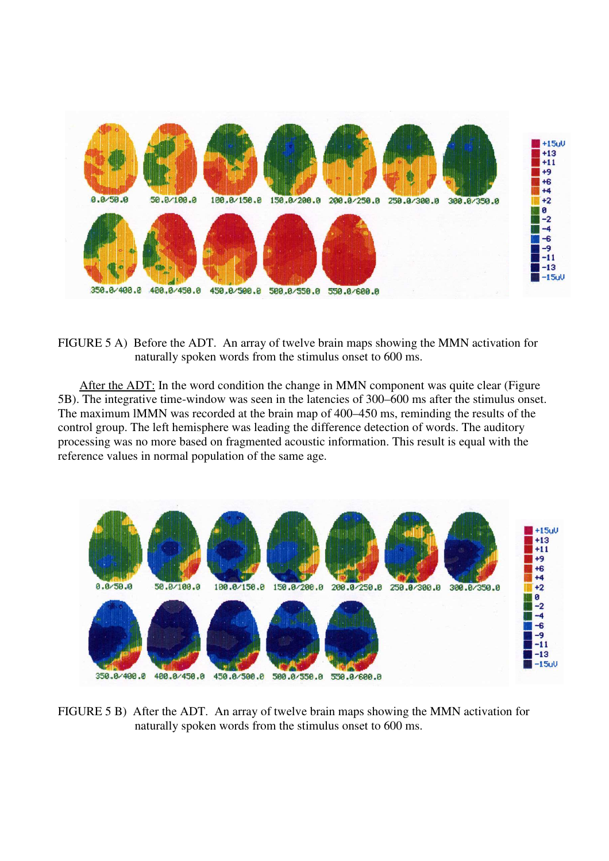

FIGURE 5 A) Before the ADT. An array of twelve brain maps showing the MMN activation for naturally spoken words from the stimulus onset to 600 ms.

 After the ADT: In the word condition the change in MMN component was quite clear (Figure 5B). The integrative time-window was seen in the latencies of 300–600 ms after the stimulus onset. The maximum lMMN was recorded at the brain map of 400–450 ms, reminding the results of the control group. The left hemisphere was leading the difference detection of words. The auditory processing was no more based on fragmented acoustic information. This result is equal with the reference values in normal population of the same age.



FIGURE 5 B) After the ADT. An array of twelve brain maps showing the MMN activation for naturally spoken words from the stimulus onset to 600 ms.